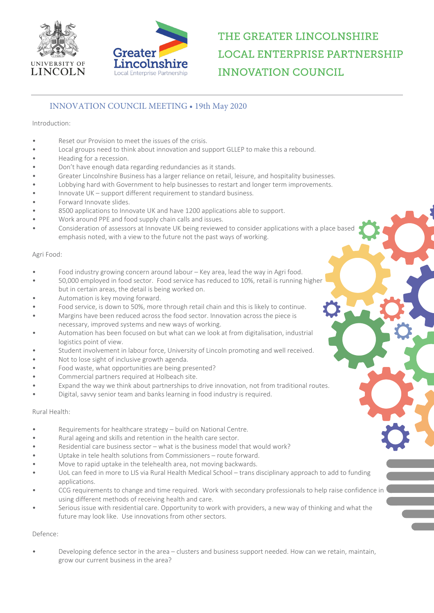



# THE GREATER LINCOLNSHIRE **LOCAL ENTERPRISE PARTNERSHIP INNOVATION COUNCIL**

## INNOVATION COUNCIL MEETING • 19th May 2020

#### Introduction:

- Reset our Provision to meet the issues of the crisis.
- Local groups need to think about innovation and support GLLEP to make this a rebound.
- Heading for a recession.
- Don't have enough data regarding redundancies as it stands.
- Greater Lincolnshire Business has a larger reliance on retail, leisure, and hospitality businesses.
- Lobbying hard with Government to help businesses to restart and longer term improvements.
- Innovate UK support different requirement to standard business.
- Forward Innovate slides.
- 8500 applications to Innovate UK and have 1200 applications able to support.
- Work around PPE and food supply chain calls and issues.
- Consideration of assessors at Innovate UK being reviewed to consider applications with a place based emphasis noted, with a view to the future not the past ways of working.

#### Agri Food:

- Food industry growing concern around labour Key area, lead the way in Agri food.
- 50,000 employed in food sector. Food service has reduced to 10%, retail is running higher but in certain areas, the detail is being worked on.
- Automation is key moving forward.
- Food service, is down to 50%, more through retail chain and this is likely to continue.
- Margins have been reduced across the food sector. Innovation across the piece is necessary, improved systems and new ways of working.
- Automation has been focused on but what can we look at from digitalisation, industrial logistics point of view.
- Student involvement in labour force, University of Lincoln promoting and well received.
- Not to lose sight of inclusive growth agenda.
- Food waste, what opportunities are being presented?
- Commercial partners required at Holbeach site.
- Expand the way we think about partnerships to drive innovation, not from traditional routes.
- Digital, savvy senior team and banks learning in food industry is required.

### Rural Health:

- Requirements for healthcare strategy build on National Centre.
- Rural ageing and skills and retention in the health care sector.
- Residential care business sector what is the business model that would work?
- Uptake in tele health solutions from Commissioners route forward.
- Move to rapid uptake in the telehealth area, not moving backwards.
- UoL can feed in more to LIS via Rural Health Medical School trans disciplinary approach to add to funding applications.
- CCG requirements to change and time required. Work with secondary professionals to help raise confidence in using different methods of receiving health and care.
- Serious issue with residential care. Opportunity to work with providers, a new way of thinking and what the future may look like. Use innovations from other sectors.

### Defence:

• Developing defence sector in the area – clusters and business support needed. How can we retain, maintain, grow our current business in the area?